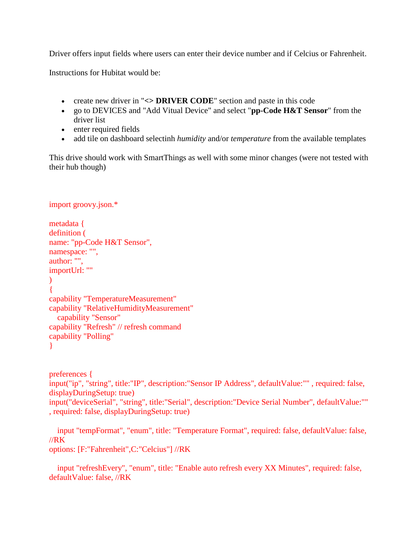Driver offers input fields where users can enter their device number and if Celcius or Fahrenheit.

Instructions for Hubitat would be:

- create new driver in "**<> DRIVER CODE**" section and paste in this code
- go to DEVICES and "Add Vitual Device" and select "**pp-Code H&T Sensor**" from the driver list
- enter required fields
- add tile on dashboard selectinh *humidity* and/or *temperature* from the available templates

This drive should work with SmartThings as well with some minor changes (were not tested with their hub though)

```
import groovy.json.*
metadata {
definition (
name: "pp-Code H&T Sensor",
namespace: "",
author: "",
importUrl: ""
\mathcal{L}{
capability "TemperatureMeasurement"
capability "RelativeHumidityMeasurement"
  capability "Sensor"
capability "Refresh" // refresh command
capability "Polling"
}
```
preferences { input("ip", "string", title:"IP", description:"Sensor IP Address", defaultValue:"" , required: false, displayDuringSetup: true) input("deviceSerial", "string", title:"Serial", description:"Device Serial Number", defaultValue:"" , required: false, displayDuringSetup: true)

input "tempFormat", "enum", title: "Temperature Format", required: false, defaultValue: false, //RK options: [F:"Fahrenheit",C:"Celcius"] //RK

input "refreshEvery", "enum", title: "Enable auto refresh every XX Minutes", required: false, defaultValue: false, //RK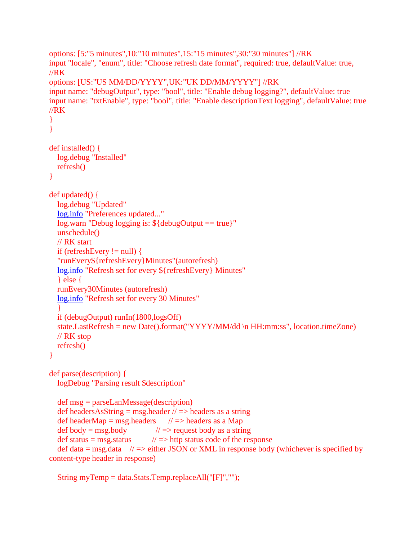```
options: [5:"5 minutes",10:"10 minutes",15:"15 minutes",30:"30 minutes"] //RK
input "locale", "enum", title: "Choose refresh date format", required: true, defaultValue: true, 
//RK
options: [US:"US MM/DD/YYYY",UK:"UK DD/MM/YYYY"] //RK
input name: "debugOutput", type: "bool", title: "Enable debug logging?", defaultValue: true
input name: "txtEnable", type: "bool", title: "Enable descriptionText logging", defaultValue: true 
//RK
}
}
def installed() {
  log.debug "Installed"
  refresh()
}
def updated() {
  log.debug "Updated"
  log.info "Preferences updated..."
  log.warn "Debug logging is: ${debugOutput == true}"
  unschedule()
  // RK start
  if (refreshEvery != null) {
  "runEvery${refreshEvery}Minutes"(autorefresh)
  log.info "Refresh set for every ${refreshEvery} Minutes"
  } else {
  runEvery30Minutes (autorefresh)
  log.info "Refresh set for every 30 Minutes"
  }
  if (debugOutput) runIn(1800,logsOff)
  state.LastRefresh = new Date().format("YYYY/MM/dd \n HH:mm:ss", location.timeZone)
  // RK stop
  refresh()
}
def parse(description) {
  logDebug "Parsing result $description"
  def msg = parseLanMessage(description)
  def headersAsString = msg.header \pi => headers as a string
  def headerMap = msg.headers \frac{1}{2} => headers as a Map
  def body = msg.body \angle // => request body as a string
  def status = msg.status \angle // => http status code of the response
  def data = msg.data \pi // => either JSON or XML in response body (whichever is specified by
content-type header in response)
```

```
String myTemp = data.Stats.Temp.replaceAll("[F]","");
```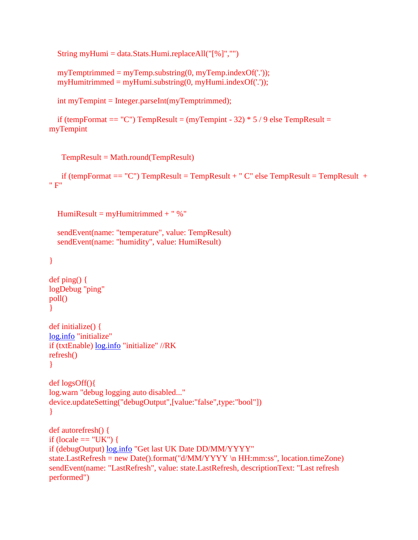String myHumi = data.Stats.Humi.replaceAll( $\lceil\% \rceil$ ","")

```
myTemptrimmed = myTemp.substring(0, myTemp.indexOf('.'));myHumitrimmed = myHumi.substring(0, myHumi.indexOf('.'));
```
int myTempint = Integer.parseInt(myTemptrimmed);

```
if (tempFormat = "C") TempResult = (myTempint - 32) * 5 / 9 else TempResult =
myTempint
```
TempResult = Math.round(TempResult)

if (tempFormat  $== "C"$ ) TempResult = TempResult + "  $C"$  else TempResult = TempResult + " F"

```
HumiResult = myHumitrimmed + " %"
```

```
sendEvent(name: "temperature", value: TempResult)
sendEvent(name: "humidity", value: HumiResult)
```

```
}
```

```
def ping() {
logDebug "ping"
poll()
}
```

```
def initialize() {
log.info "initialize"
if (txtEnable) log.info "initialize" //RK
refresh()
}
```

```
def logsOff(){
log.warn "debug logging auto disabled..."
device.updateSetting("debugOutput",[value:"false",type:"bool"])
}
```

```
def autorefresh() {
if (locale == "UK") {
 log.info "Get last UK Date DD/MM/YYYY"
state.LastRefresh = new Date().format("d/MM/YYYY \n HH:mm:ss", location.timeZone)
sendEvent(name: "LastRefresh", value: state.LastRefresh, descriptionText: "Last refresh 
performed")
```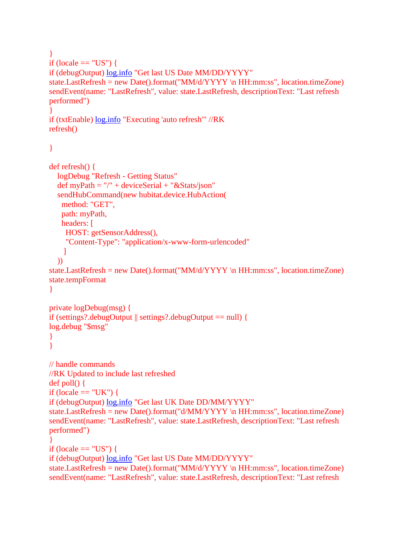```
} 
if (locale == "US") {
if (debugOutput) log.info "Get last US Date MM/DD/YYYY"
state.LastRefresh = new Date().format("MM/d/YYYY \n HH:mm:ss", location.timeZone)
sendEvent(name: "LastRefresh", value: state.LastRefresh, descriptionText: "Last refresh 
performed")
}
if (txtEnable) log.info "Executing 'auto refresh'" //RK
refresh()
}
def refresh() {
  logDebug "Refresh - Getting Status"
  def myPath = "/" + deviceSerial + "&Stats/json"
  sendHubCommand(new hubitat.device.HubAction(
   method: "GET",
   path: myPath,
   headers: [
    HOST: getSensorAddress(),
    "Content-Type": "application/x-www-form-urlencoded"
    ]
  ))
state.LastRefresh = new Date().format("MM/d/YYYY \n HH:mm:ss", location.timeZone)
state.tempFormat
}
private logDebug(msg) {
if (settings?.debugOutput || settings?.debugOutput == null) {
log.debug "$msg"
}
}
// handle commands
//RK Updated to include last refreshed
def poll() {
if (locale == "UK") {
if (debugOutput) log.info "Get last UK Date DD/MM/YYYY"
state.LastRefresh = new Date().format("d/MM/YYYY \n HH:mm:ss", location.timeZone)
sendEvent(name: "LastRefresh", value: state.LastRefresh, descriptionText: "Last refresh 
performed")
} 
if (locale == "US") {
if (debugOutput) log.info "Get last US Date MM/DD/YYYY"
state.LastRefresh = new Date().format("MM/d/YYYY \n HH:mm:ss", location.timeZone)
```
sendEvent(name: "LastRefresh", value: state.LastRefresh, descriptionText: "Last refresh